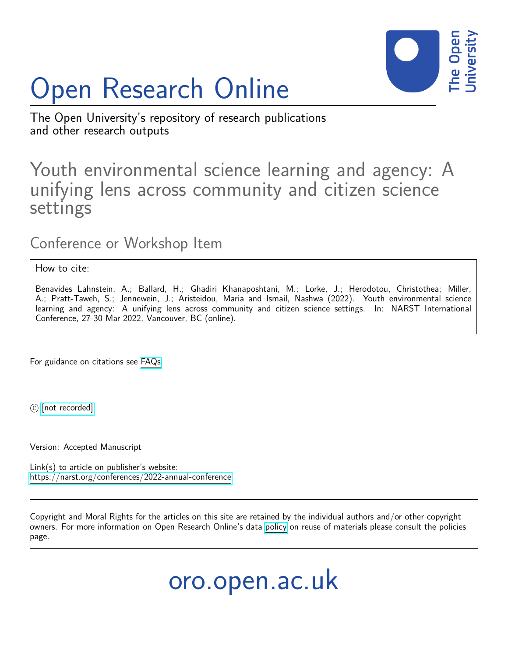

# Open Research Online

The Open University's repository of research publications and other research outputs

# Youth environmental science learning and agency: A unifying lens across community and citizen science settings

Conference or Workshop Item

How to cite:

Benavides Lahnstein, A.; Ballard, H.; Ghadiri Khanaposhtani, M.; Lorke, J.; Herodotou, Christothea; Miller, A.; Pratt-Taweh, S.; Jennewein, J.; Aristeidou, Maria and Ismail, Nashwa (2022). Youth environmental science learning and agency: A unifying lens across community and citizen science settings. In: NARST International Conference, 27-30 Mar 2022, Vancouver, BC (online).

For guidance on citations see [FAQs.](http://oro.open.ac.uk/help/helpfaq.html)

 $\circled{c}$  [\[not recorded\]](http://oro.open.ac.uk/help/helpfaq.html#Unrecorded_information_on_coversheet)

Version: Accepted Manuscript

Link(s) to article on publisher's website: <https://narst.org/conferences/2022-annual-conference>

Copyright and Moral Rights for the articles on this site are retained by the individual authors and/or other copyright owners. For more information on Open Research Online's data [policy](http://oro.open.ac.uk/policies.html) on reuse of materials please consult the policies page.

oro.open.ac.uk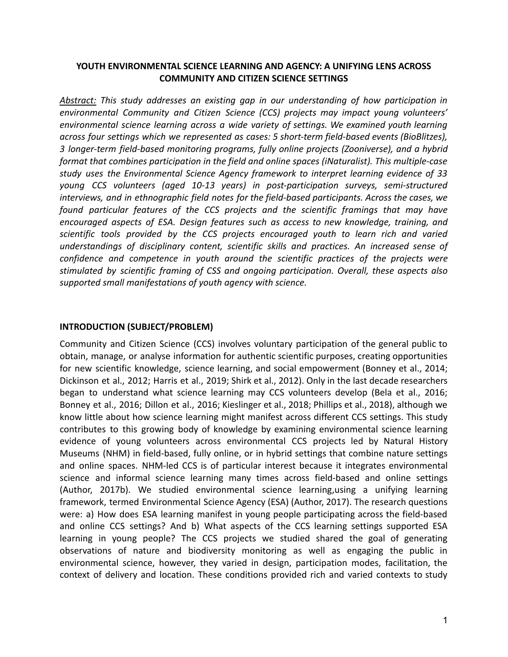# **YOUTH ENVIRONMENTAL SCIENCE LEARNING AND AGENCY: A UNIFYING LENS ACROSS COMMUNITY AND CITIZEN SCIENCE SETTINGS**

*Abstract: This study addresses an existing gap in our understanding of how participation in environmental Community and Citizen Science (CCS) projects may impact young volunteers' environmental science learning across a wide variety of settings. We examined youth learning across four settings which we represented as cases: 5 short-term field-based events (BioBlitzes), 3 longer-term field-based monitoring programs, fully online projects (Zooniverse), and a hybrid format that combines participation in the field and online spaces (iNaturalist). This multiple-case study uses the Environmental Science Agency framework to interpret learning evidence of 33 young CCS volunteers (aged 10-13 years) in post-participation surveys, semi-structured interviews, and in ethnographic field notes for the field-based participants. Across the cases, we found particular features of the CCS projects and the scientific framings that may have encouraged aspects of ESA. Design features such as access to new knowledge, training, and scientific tools provided by the CCS projects encouraged youth to learn rich and varied understandings of disciplinary content, scientific skills and practices. An increased sense of confidence and competence in youth around the scientific practices of the projects were stimulated by scientific framing of CSS and ongoing participation. Overall, these aspects also supported small manifestations of youth agency with science.*

#### **INTRODUCTION (SUBJECT/PROBLEM)**

Community and Citizen Science (CCS) involves voluntary participation of the general public to obtain, manage, or analyse information for authentic scientific purposes, creating opportunities for new scientific knowledge, science learning, and social empowerment (Bonney et al., 2014; Dickinson et al., 2012; Harris et al., 2019; Shirk et al., 2012). Only in the last decade researchers began to understand what science learning may CCS volunteers develop (Bela et al., 2016; Bonney et al., 2016; Dillon et al., 2016; Kieslinger et al., 2018; Phillips et al., 2018), although we know little about how science learning might manifest across different CCS settings. This study contributes to this growing body of knowledge by examining environmental science learning evidence of young volunteers across environmental CCS projects led by Natural History Museums (NHM) in field-based, fully online, or in hybrid settings that combine nature settings and online spaces. NHM-led CCS is of particular interest because it integrates environmental science and informal science learning many times across field-based and online settings (Author, 2017b). We studied environmental science learning,using a unifying learning framework, termed Environmental Science Agency (ESA) (Author, 2017). The research questions were: a) How does ESA learning manifest in young people participating across the field-based and online CCS settings? And b) What aspects of the CCS learning settings supported ESA learning in young people? The CCS projects we studied shared the goal of generating observations of nature and biodiversity monitoring as well as engaging the public in environmental science, however, they varied in design, participation modes, facilitation, the context of delivery and location. These conditions provided rich and varied contexts to study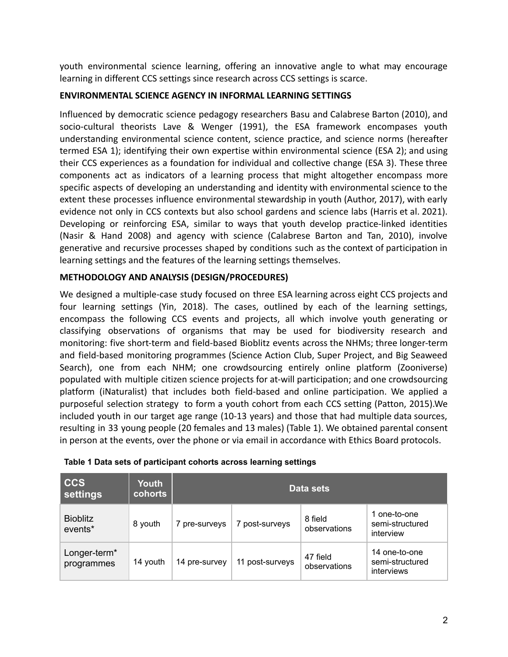youth environmental science learning, offering an innovative angle to what may encourage learning in different CCS settings since research across CCS settings is scarce.

# **ENVIRONMENTAL SCIENCE AGENCY IN INFORMAL LEARNING SETTINGS**

Influenced by democratic science pedagogy researchers Basu and Calabrese Barton (2010), and socio-cultural theorists Lave & Wenger (1991), the ESA framework encompases youth understanding environmental science content, science practice, and science norms (hereafter termed ESA 1); identifying their own expertise within environmental science (ESA 2); and using their CCS experiences as a foundation for individual and collective change (ESA 3). These three components act as indicators of a learning process that might altogether encompass more specific aspects of developing an understanding and identity with environmental science to the extent these processes influence environmental stewardship in youth (Author, 2017), with early evidence not only in CCS contexts but also school gardens and science labs (Harris et al. 2021). Developing or reinforcing ESA, similar to ways that youth develop practice-linked identities (Nasir & Hand 2008) and agency with science (Calabrese Barton and Tan, 2010), involve generative and recursive processes shaped by conditions such as the context of participation in learning settings and the features of the learning settings themselves.

# **METHODOLOGY AND ANALYSIS (DESIGN/PROCEDURES)**

We designed a multiple-case study focused on three ESA learning across eight CCS projects and four learning settings (Yin, 2018). The cases, outlined by each of the learning settings, encompass the following CCS events and projects, all which involve youth generating or classifying observations of organisms that may be used for biodiversity research and monitoring: five short-term and field-based Bioblitz events across the NHMs; three longer-term and field-based monitoring programmes (Science Action Club, Super Project, and Big Seaweed Search), one from each NHM; one crowdsourcing entirely online platform (Zooniverse) populated with multiple citizen science projects for at-will participation; and one crowdsourcing platform (iNaturalist) that includes both field-based and online participation. We applied a purposeful selection strategy to form a youth cohort from each CCS setting (Patton, 2015).We included youth in our target age range (10-13 years) and those that had multiple data sources, resulting in 33 young people (20 females and 13 males) (Table 1). We obtained parental consent in person at the events, over the phone or via email in accordance with Ethics Board protocols.

| <b>CCS</b><br>settings                 | Youth<br><b>cohorts</b> | Data sets     |                 |                          |                                                |
|----------------------------------------|-------------------------|---------------|-----------------|--------------------------|------------------------------------------------|
| <b>Bioblitz</b><br>events*             | 8 youth                 | 7 pre-surveys | post-surveys    | 8 field<br>observations  | 1 one-to-one<br>semi-structured<br>interview   |
| Longer-term <sup>*</sup><br>programmes | 14 youth                | 14 pre-survey | 11 post-surveys | 47 field<br>observations | 14 one-to-one<br>semi-structured<br>interviews |

#### **Table 1 Data sets of participant cohorts across learning settings**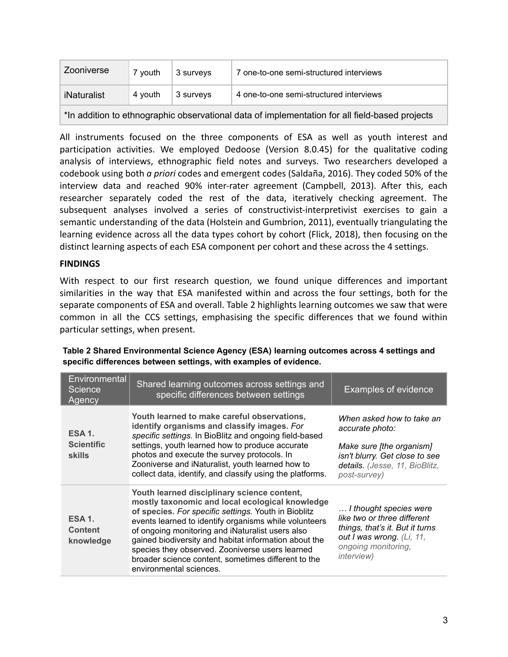| Zooniverse                                                                                     | 7 vouth | $^\shortparallel$ 3 survevs | 7 one-to-one semi-structured interviews |  |  |
|------------------------------------------------------------------------------------------------|---------|-----------------------------|-----------------------------------------|--|--|
| iNaturalist                                                                                    | 4 vouth | 3 survevs                   | 4 one-to-one semi-structured interviews |  |  |
| *In addition to ethnographic observational data of implementation for all field-based projects |         |                             |                                         |  |  |

All instruments focused on the three components of ESA as well as youth interest and participation activities. We employed Dedoose (Version 8.0.45) for the qualitative coding analysis of interviews, ethnographic field notes and surveys. Two researchers developed a codebook using both *a priori* codes and emergent codes (Saldaña, 2016). They coded 50% of the interview data and reached 90% inter-rater agreement (Campbell, 2013). After this, each researcher separately coded the rest of the data, iteratively checking agreement. The subsequent analyses involved a series of constructivist-interpretivist exercises to gain a semantic understanding of the data (Holstein and Gumbrion, 2011), eventually triangulating the learning evidence across all the data types cohort by cohort (Flick, 2018), then focusing on the distinct learning aspects of each ESA component per cohort and these across the 4 settings.

# **FINDINGS**

With respect to our first research question, we found unique differences and important similarities in the way that ESA manifested within and across the four settings, both for the separate components of ESA and overall. Table 2 highlights learning outcomes we saw that were common in all the CCS settings, emphasising the specific differences that we found within particular settings, when present.

| Environmental<br>Science<br>Agency                  | Shared learning outcomes across settings and<br>specific differences between settings                                                                                                                                                                                                                                                                                                                                                                             | <b>Examples of evidence</b>                                                                                                                                        |
|-----------------------------------------------------|-------------------------------------------------------------------------------------------------------------------------------------------------------------------------------------------------------------------------------------------------------------------------------------------------------------------------------------------------------------------------------------------------------------------------------------------------------------------|--------------------------------------------------------------------------------------------------------------------------------------------------------------------|
| <b>ESA 1.</b><br><b>Scientific</b><br><b>skills</b> | Youth learned to make careful observations,<br>identify organisms and classify images. For<br>specific settings. In BioBlitz and ongoing field-based<br>settings, youth learned how to produce accurate<br>photos and execute the survey protocols. In<br>Zooniverse and iNaturalist, youth learned how to<br>collect data, identify, and classify using the platforms.                                                                                           | When asked how to take an<br>accurate photo:<br>Make sure [the organism]<br>isn't blurry. Get close to see<br>details. (Jesse, 11, BioBlitz,<br>post-survey)       |
| <b>ESA 1.</b><br><b>Content</b><br>knowledge        | Youth learned disciplinary science content,<br>mostly taxonomic and local ecological knowledge<br>of species. For specific settings. Youth in Bioblitz<br>events learned to identify organisms while volunteers<br>of ongoing monitoring and iNaturalist users also<br>gained biodiversity and habitat information about the<br>species they observed. Zooniverse users learned<br>broader science content, sometimes different to the<br>environmental sciences. | I thought species were<br>like two or three different<br>things, that's it. But it turns<br>out I was wrong. (Li, 11,<br>ongoing monitoring,<br><i>interview</i> ) |

**Table 2 Shared Environmental Science Agency (ESA) learning outcomes across 4 settings and specific differences between settings, with examples of evidence.**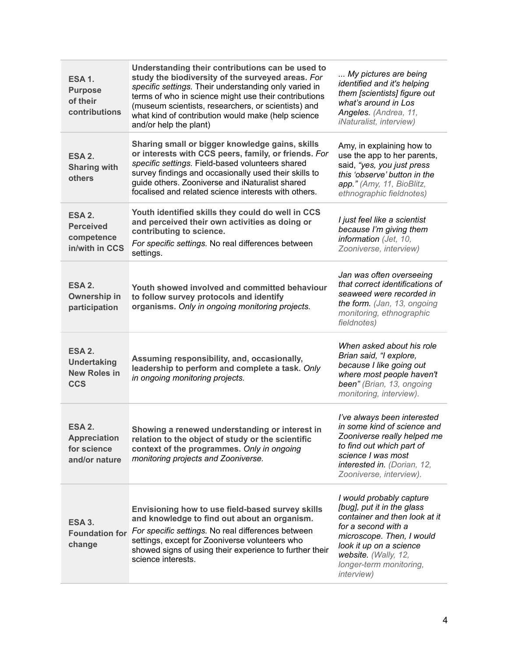| <b>ESA 1.</b><br><b>Purpose</b><br>of their<br>contributions      | Understanding their contributions can be used to<br>study the biodiversity of the surveyed areas. For<br>specific settings. Their understanding only varied in<br>terms of who in science might use their contributions<br>(museum scientists, researchers, or scientists) and<br>what kind of contribution would make (help science<br>and/or help the plant) | My pictures are being<br>identified and it's helping<br>them [scientists] figure out<br>what's around in Los<br>Angeles. (Andrea, 11,<br><i>iNaturalist, interview)</i>                                                                         |
|-------------------------------------------------------------------|----------------------------------------------------------------------------------------------------------------------------------------------------------------------------------------------------------------------------------------------------------------------------------------------------------------------------------------------------------------|-------------------------------------------------------------------------------------------------------------------------------------------------------------------------------------------------------------------------------------------------|
| ESA 2.<br><b>Sharing with</b><br>others                           | Sharing small or bigger knowledge gains, skills<br>or interests with CCS peers, family, or friends. For<br>specific settings. Field-based volunteers shared<br>survey findings and occasionally used their skills to<br>guide others. Zooniverse and iNaturalist shared<br>focalised and related science interests with others.                                | Amy, in explaining how to<br>use the app to her parents,<br>said, "yes, you just press<br>this 'observe' button in the<br>app." (Amy, 11, BioBlitz,<br>ethnographic fieldnotes)                                                                 |
| ESA 2.<br><b>Perceived</b><br>competence<br>in/with in CCS        | Youth identified skills they could do well in CCS<br>and perceived their own activities as doing or<br>contributing to science.<br>For specific settings. No real differences between<br>settings.                                                                                                                                                             | I just feel like a scientist<br>because I'm giving them<br>information (Jet, 10,<br>Zooniverse, interview)                                                                                                                                      |
| ESA 2.<br>Ownership in<br>participation                           | Youth showed involved and committed behaviour<br>to follow survey protocols and identify<br>organisms. Only in ongoing monitoring projects.                                                                                                                                                                                                                    | Jan was often overseeing<br>that correct identifications of<br>seaweed were recorded in<br>the form. (Jan, 13, ongoing<br>monitoring, ethnographic<br>fieldnotes)                                                                               |
| ESA 2.<br><b>Undertaking</b><br><b>New Roles in</b><br><b>CCS</b> | Assuming responsibility, and, occasionally,<br>leadership to perform and complete a task. Only<br>in ongoing monitoring projects.                                                                                                                                                                                                                              | When asked about his role<br>Brian said, "I explore,<br>because I like going out<br>where most people haven't<br>been" (Brian, 13, ongoing<br>monitoring, interview).                                                                           |
| ESA 2.<br><b>Appreciation</b><br>for science<br>and/or nature     | Showing a renewed understanding or interest in<br>relation to the object of study or the scientific<br>context of the programmes. Only in ongoing<br>monitoring projects and Zooniverse.                                                                                                                                                                       | I've always been interested<br>in some kind of science and<br>Zooniverse really helped me<br>to find out which part of<br>science I was most<br>interested in. (Dorian, 12,<br>Zooniverse, interview).                                          |
| <b>ESA 3.</b><br><b>Foundation for</b><br>change                  | Envisioning how to use field-based survey skills<br>and knowledge to find out about an organism.<br>For specific settings. No real differences between<br>settings, except for Zooniverse volunteers who<br>showed signs of using their experience to further their<br>science interests.                                                                      | I would probably capture<br>[bug], put it in the glass<br>container and then look at it<br>for a second with a<br>microscope. Then, I would<br>look it up on a science<br>website. (Wally, 12,<br>longer-term monitoring,<br><i>interview</i> ) |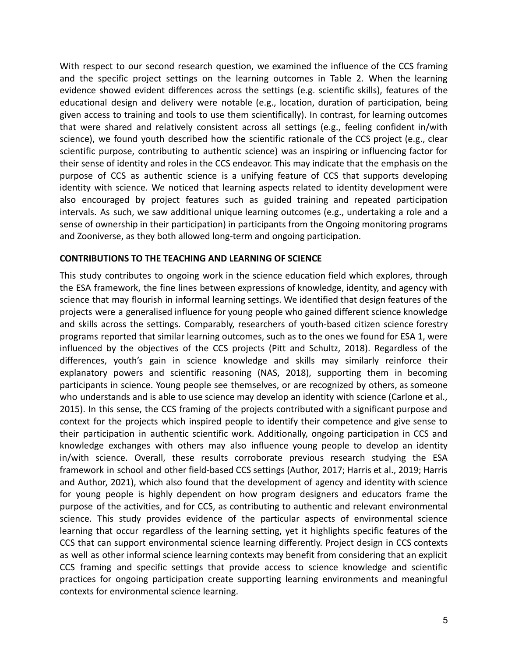With respect to our second research question, we examined the influence of the CCS framing and the specific project settings on the learning outcomes in Table 2. When the learning evidence showed evident differences across the settings (e.g. scientific skills), features of the educational design and delivery were notable (e.g., location, duration of participation, being given access to training and tools to use them scientifically). In contrast, for learning outcomes that were shared and relatively consistent across all settings (e.g., feeling confident in/with science), we found youth described how the scientific rationale of the CCS project (e.g., clear scientific purpose, contributing to authentic science) was an inspiring or influencing factor for their sense of identity and roles in the CCS endeavor. This may indicate that the emphasis on the purpose of CCS as authentic science is a unifying feature of CCS that supports developing identity with science. We noticed that learning aspects related to identity development were also encouraged by project features such as guided training and repeated participation intervals. As such, we saw additional unique learning outcomes (e.g., undertaking a role and a sense of ownership in their participation) in participants from the Ongoing monitoring programs and Zooniverse, as they both allowed long-term and ongoing participation.

### **CONTRIBUTIONS TO THE TEACHING AND LEARNING OF SCIENCE**

This study contributes to ongoing work in the science education field which explores, through the ESA framework, the fine lines between expressions of knowledge, identity, and agency with science that may flourish in informal learning settings. We identified that design features of the projects were a generalised influence for young people who gained different science knowledge and skills across the settings. Comparably, researchers of youth-based citizen science forestry programs reported that similar learning outcomes, such as to the ones we found for ESA 1, were influenced by the objectives of the CCS projects (Pitt and Schultz, 2018). Regardless of the differences, youth's gain in science knowledge and skills may similarly reinforce their explanatory powers and scientific reasoning (NAS, 2018), supporting them in becoming participants in science. Young people see themselves, or are recognized by others, as someone who understands and is able to use science may develop an identity with science (Carlone et al., 2015). In this sense, the CCS framing of the projects contributed with a significant purpose and context for the projects which inspired people to identify their competence and give sense to their participation in authentic scientific work. Additionally, ongoing participation in CCS and knowledge exchanges with others may also influence young people to develop an identity in/with science. Overall, these results corroborate previous research studying the ESA framework in school and other field-based CCS settings (Author, 2017; Harris et al., 2019; Harris and Author, 2021), which also found that the development of agency and identity with science for young people is highly dependent on how program designers and educators frame the purpose of the activities, and for CCS, as contributing to authentic and relevant environmental science. This study provides evidence of the particular aspects of environmental science learning that occur regardless of the learning setting, yet it highlights specific features of the CCS that can support environmental science learning differently. Project design in CCS contexts as well as other informal science learning contexts may benefit from considering that an explicit CCS framing and specific settings that provide access to science knowledge and scientific practices for ongoing participation create supporting learning environments and meaningful contexts for environmental science learning.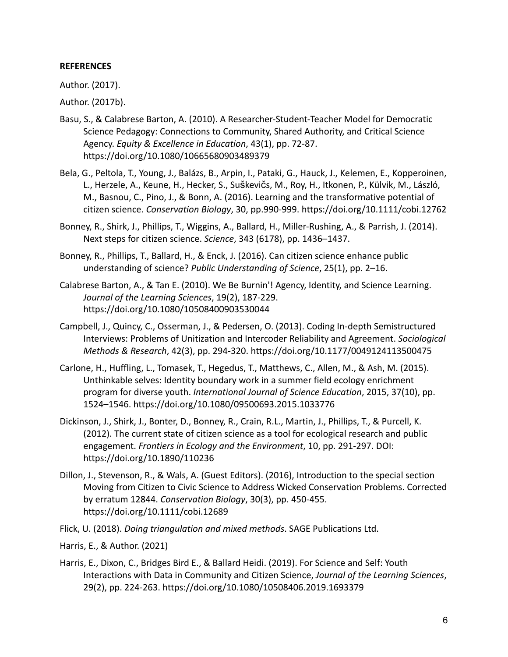### **REFERENCES**

Author. (2017).

Author. (2017b).

- Basu, S., & Calabrese Barton, A. (2010). A Researcher-Student-Teacher Model for Democratic Science Pedagogy: Connections to Community, Shared Authority, and Critical Science Agency. *Equity & Excellence in Education*, 43(1), pp. 72-87. https://doi.org/10.1080/10665680903489379
- Bela, G., Peltola, T., Young, J., Balázs, B., Arpin, I., Pataki, G., Hauck, J., Kelemen, E., Kopperoinen, L., Herzele, A., Keune, H., Hecker, S., Suškevičs, M., Roy, H., Itkonen, P., Külvik, M., László, M., Basnou, C., Pino, J., & Bonn, A. (2016). Learning and the transformative potential of citizen science. *Conservation Biology*, 30, pp.990-999. https://doi.org/10.1111/cobi.12762
- Bonney, R., Shirk, J., Phillips, T., Wiggins, A., Ballard, H., Miller-Rushing, A., & Parrish, J. (2014). Next steps for citizen science. *Science*, 343 (6178), pp. 1436–1437.
- Bonney, R., Phillips, T., Ballard, H., & Enck, J. (2016). Can citizen science enhance public understanding of science? *Public Understanding of Science*, 25(1), pp. 2–16.
- Calabrese Barton, A., & Tan E. (2010). We Be Burnin'! Agency, Identity, and Science Learning. *Journal of the Learning Sciences*, 19(2), 187-229. https://doi.org/10.1080/10508400903530044
- Campbell, J., Quincy, C., Osserman, J., & Pedersen, O. (2013). Coding In-depth Semistructured Interviews: Problems of Unitization and Intercoder Reliability and Agreement. *Sociological Methods & Research*, 42(3), pp. 294-320. https://doi.org/10.1177/0049124113500475
- Carlone, H., Huffling, L., Tomasek, T., Hegedus, T., Matthews, C., Allen, M., & Ash, M. (2015). Unthinkable selves: Identity boundary work in a summer field ecology enrichment program for diverse youth. *International Journal of Science Education*, 2015, 37(10), pp. 1524–1546. https://doi.org/10.1080/09500693.2015.1033776
- Dickinson, J., Shirk, J., Bonter, D., Bonney, R., Crain, R.L., Martin, J., Phillips, T., & Purcell, K. (2012). The current state of citizen science as a tool for ecological research and public engagement. *Frontiers in Ecology and the Environment*, 10, pp. 291-297. DOI: https://doi.org/10.1890/110236
- Dillon, J., Stevenson, R., & Wals, A. (Guest Editors). (2016), Introduction to the special section Moving from Citizen to Civic Science to Address Wicked Conservation Problems. Corrected by erratum 12844. *Conservation Biology*, 30(3), pp. 450-455. https://doi.org/10.1111/cobi.12689
- Flick, U. (2018). *Doing triangulation and mixed methods*. SAGE Publications Ltd.
- Harris, E., & Author. (2021)
- Harris, E., Dixon, C., Bridges Bird E., & Ballard Heidi. (2019). For Science and Self: Youth Interactions with Data in Community and Citizen Science, *Journal of the Learning Sciences*, 29(2), pp. 224-263. https://doi.org/10.1080/10508406.2019.1693379